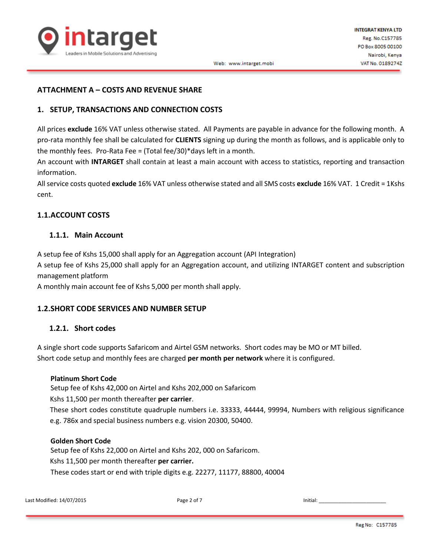

## **ATTACHMENT A – COSTS AND REVENUE SHARE**

# **1. SETUP, TRANSACTIONS AND CONNECTION COSTS**

All prices **exclude** 16% VAT unless otherwise stated. All Payments are payable in advance for the following month. A pro-rata monthly fee shall be calculated for **CLIENTS** signing up during the month as follows, and is applicable only to the monthly fees. Pro-Rata Fee = (Total fee/30)\*days left in a month.

An account with **INTARGET** shall contain at least a main account with access to statistics, reporting and transaction information.

All service costs quoted **exclude** 16% VAT unless otherwise stated and all SMS costs **exclude** 16% VAT. 1 Credit = 1Kshs cent.

# **1.1.ACCOUNT COSTS**

## **1.1.1. Main Account**

A setup fee of Kshs 15,000 shall apply for an Aggregation account (API Integration)

A setup fee of Kshs 25,000 shall apply for an Aggregation account, and utilizing INTARGET content and subscription management platform

A monthly main account fee of Kshs 5,000 per month shall apply.

## **1.2.SHORT CODE SERVICES AND NUMBER SETUP**

## **1.2.1. Short codes**

A single short code supports Safaricom and Airtel GSM networks. Short codes may be MO or MT billed. Short code setup and monthly fees are charged **per month per network** where it is configured.

## **Platinum Short Code**

Setup fee of Kshs 42,000 on Airtel and Kshs 202,000 on Safaricom

Kshs 11,500 per month thereafter **per carrier**.

These short codes constitute quadruple numbers i.e. 33333, 44444, 99994, Numbers with religious significance e.g. 786x and special business numbers e.g. vision 20300, 50400.

## **Golden Short Code**

Setup fee of Kshs 22,000 on Airtel and Kshs 202, 000 on Safaricom. Kshs 11,500 per month thereafter **per carrier.** These codes start or end with triple digits e.g. 22277, 11177, 88800, 40004

Last Modified: 14/07/2015 **Page 2 of 7** Initial: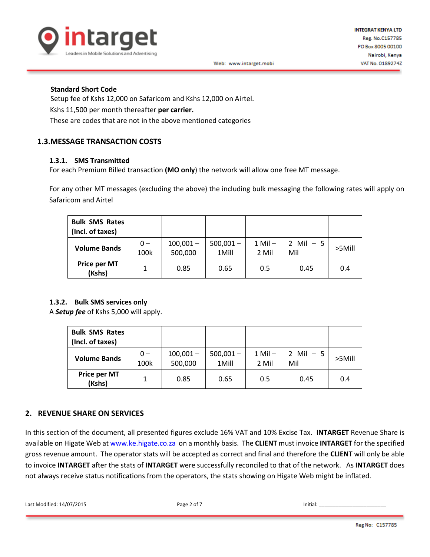

#### **Standard Short Code**

Setup fee of Kshs 12,000 on Safaricom and Kshs 12,000 on Airtel. Kshs 11,500 per month thereafter **per carrier.** These are codes that are not in the above mentioned categories

# **1.3.MESSAGE TRANSACTION COSTS**

#### **1.3.1. SMS Transmitted**

For each Premium Billed transaction **(MO only**) the network will allow one free MT message.

For any other MT messages (excluding the above) the including bulk messaging the following rates will apply on Safaricom and Airtel

| <b>Bulk SMS Rates</b><br>(Incl. of taxes) |               |                        |                      |                      |                   |        |
|-------------------------------------------|---------------|------------------------|----------------------|----------------------|-------------------|--------|
| <b>Volume Bands</b>                       | $0 -$<br>100k | $100,001 -$<br>500,000 | $500,001 -$<br>1Mill | $1$ Mil $-$<br>2 Mil | 2 Mil $-5$<br>Mil | >5Mill |
| Price per MT<br>(Kshs)                    |               | 0.85                   | 0.65                 | 0.5                  | 0.45              | 0.4    |

## **1.3.2. Bulk SMS services only**

A *Setup fee* of Kshs 5,000 will apply.

| <b>Bulk SMS Rates</b><br>(Incl. of taxes) |               |                        |                      |                      |                                   |           |
|-------------------------------------------|---------------|------------------------|----------------------|----------------------|-----------------------------------|-----------|
| <b>Volume Bands</b>                       | $0 -$<br>100k | $100,001 -$<br>500,000 | $500,001 -$<br>1Mill | $1$ Mil $-$<br>2 Mil | $Mil - 5$<br>$\mathcal{P}$<br>Mil | $>5$ Mill |
| Price per MT<br>(Kshs)                    |               | 0.85                   | 0.65                 | 0.5                  | 0.45                              | 0.4       |

## **2. REVENUE SHARE ON SERVICES**

In this section of the document, all presented figures exclude 16% VAT and 10% Excise Tax. **INTARGET** Revenue Share is available on Higate Web at [www.ke.higate.co.za](http://www.ke.higate.co.za/) on a monthly basis. The **CLIENT** must invoice **INTARGET** for the specified gross revenue amount. The operator stats will be accepted as correct and final and therefore the **CLIENT** will only be able to invoice **INTARGET** after the stats of **INTARGET** were successfully reconciled to that of the network. As **INTARGET** does not always receive status notifications from the operators, the stats showing on Higate Web might be inflated.

Last Modified: 14/07/2015 Page 2 of 7 Initial: \_\_\_\_\_\_\_\_\_\_\_\_\_\_\_\_\_\_\_\_\_\_\_\_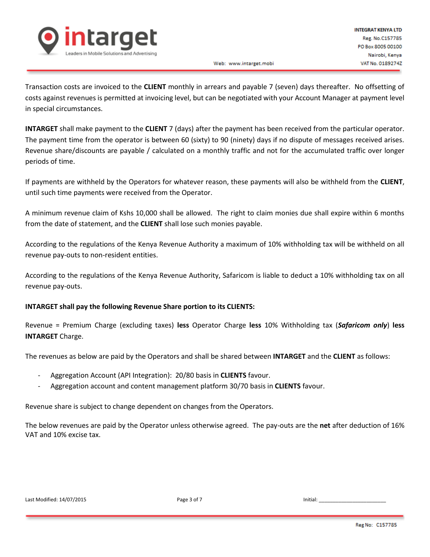

Web: www.intarget.mobi

Transaction costs are invoiced to the **CLIENT** monthly in arrears and payable 7 (seven) days thereafter. No offsetting of costs against revenues is permitted at invoicing level, but can be negotiated with your Account Manager at payment level in special circumstances.

**INTARGET** shall make payment to the **CLIENT** 7 (days) after the payment has been received from the particular operator. The payment time from the operator is between 60 (sixty) to 90 (ninety) days if no dispute of messages received arises. Revenue share/discounts are payable / calculated on a monthly traffic and not for the accumulated traffic over longer periods of time.

If payments are withheld by the Operators for whatever reason, these payments will also be withheld from the **CLIENT**, until such time payments were received from the Operator.

A minimum revenue claim of Kshs 10,000 shall be allowed. The right to claim monies due shall expire within 6 months from the date of statement, and the **CLIENT** shall lose such monies payable.

According to the regulations of the Kenya Revenue Authority a maximum of 10% withholding tax will be withheld on all revenue pay-outs to non-resident entities.

According to the regulations of the Kenya Revenue Authority, Safaricom is liable to deduct a 10% withholding tax on all revenue pay-outs.

# **INTARGET shall pay the following Revenue Share portion to its CLIENTS:**

Revenue = Premium Charge (excluding taxes) **less** Operator Charge **less** 10% Withholding tax (*Safaricom only*) **less INTARGET** Charge.

The revenues as below are paid by the Operators and shall be shared between **INTARGET** and the **CLIENT** as follows:

- Aggregation Account (API Integration): 20/80 basis in **CLIENTS** favour.
- Aggregation account and content management platform 30/70 basis in **CLIENTS** favour.

Revenue share is subject to change dependent on changes from the Operators.

The below revenues are paid by the Operator unless otherwise agreed. The pay-outs are the **net** after deduction of 16% VAT and 10% excise tax.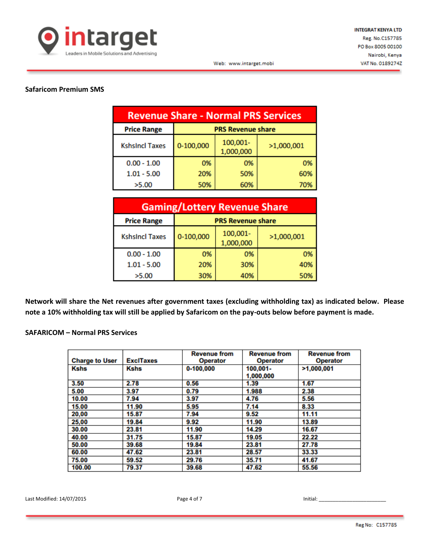

### **Safaricom Premium SMS**

| <b>Revenue Share - Normal PRS Services</b> |                          |                       |            |  |
|--------------------------------------------|--------------------------|-----------------------|------------|--|
| <b>Price Range</b>                         | <b>PRS Revenue share</b> |                       |            |  |
| <b>KshsIncl Taxes</b>                      | 0-100,000                | 100,001-<br>1,000,000 | >1,000,001 |  |
| $0.00 - 1.00$                              | 0%                       | 0%                    | 0%         |  |
| $1.01 - 5.00$                              | 20%                      | 50%                   | 60%        |  |
| >5.00                                      | 50%                      | 60%                   | 70%        |  |

| <b>Gaming/Lottery Revenue Share</b>            |           |                       |            |  |
|------------------------------------------------|-----------|-----------------------|------------|--|
| <b>Price Range</b><br><b>PRS Revenue share</b> |           |                       |            |  |
| <b>KshsIncl Taxes</b>                          | 0-100,000 | 100,001-<br>1,000,000 | >1,000,001 |  |
| $0.00 - 1.00$                                  | 0%        | 0%                    | 0%         |  |
| $1.01 - 5.00$                                  | 20%       | 30%                   | 40%        |  |
| >5.00                                          | 30%       | 40%                   | 50%        |  |

**Network will share the Net revenues after government taxes (excluding withholding tax) as indicated below. Please note a 10% withholding tax will still be applied by Safaricom on the pay-outs below before payment is made.**

### **SAFARICOM – Normal PRS Services**

| <b>Charge to User</b> | <b>ExclTaxes</b> | <b>Revenue from</b><br><b>Operator</b> | <b>Revenue from</b><br><b>Operator</b> | <b>Revenue from</b><br><b>Operator</b> |
|-----------------------|------------------|----------------------------------------|----------------------------------------|----------------------------------------|
| <b>Kshs</b>           | <b>Kshs</b>      | 0-100.000                              | $100.001 -$<br>1,000,000               | >1,000,001                             |
| 3.50                  | 2.78             | 0.56                                   | 1.39                                   | 1.67                                   |
| 5.00                  | 3.97             | 0.79                                   | 1.988                                  | 2.38                                   |
| 10.00                 | 7.94             | 3.97                                   | 4.76                                   | 5.56                                   |
| 15.00                 | 11.90            | 5.95                                   | 7.14                                   | 8.33                                   |
| 20,00                 | 15.87            | 7.94                                   | 9.52                                   | 11.11                                  |
| 25,00                 | 19.84            | 9.92                                   | 11.90                                  | 13.89                                  |
| 30.00                 | 23.81            | 11.90                                  | 14.29                                  | 16.67                                  |
| 40.00                 | 31.75            | 15.87                                  | 19.05                                  | 22.22                                  |
| 50.00                 | 39.68            | 19.84                                  | 23.81                                  | 27.78                                  |
| 60.00                 | 47.62            | 23.81                                  | 28.57                                  | 33.33                                  |
| 75.00                 | 59.52            | 29.76                                  | 35.71                                  | 41.67                                  |
| 100.00                | 79.37            | 39.68                                  | 47.62                                  | 55.56                                  |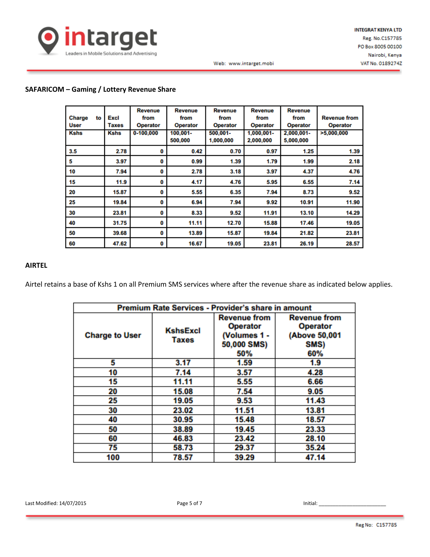

Web: www.intarget.mobi

## **SAFARICOM – Gaming / Lottery Revenue Share**

| <b>Charge</b><br>User | to | Excl<br>Taxes | <b>Revenue</b><br>from<br><b>Operator</b> | <b>Revenue</b><br>from<br><b>Operator</b> | <b>Revenue</b><br>from<br><b>Operator</b> | <b>Revenue</b><br>from<br><b>Operator</b> | <b>Revenue</b><br>from<br><b>Operator</b> | <b>Revenue from</b><br><b>Operator</b> |
|-----------------------|----|---------------|-------------------------------------------|-------------------------------------------|-------------------------------------------|-------------------------------------------|-------------------------------------------|----------------------------------------|
| <b>Kshs</b>           |    | <b>Kshs</b>   | 0-100,000                                 | 100,001-<br>500,000                       | 500,001-<br>1,000,000                     | 1,000,001-<br>2,000,000                   | 2,000,001-<br>5,000,000                   | >5,000,000                             |
| 3.5                   |    | 2.78          | 0                                         | 0.42                                      | 0.70                                      | 0.97                                      | 1.25                                      | 1.39                                   |
| 5                     |    | 3.97          | 0                                         | 0.99                                      | 1.39                                      | 1.79                                      | 1.99                                      | 2.18                                   |
| 10                    |    | 7.94          | 0                                         | 2.78                                      | 3.18                                      | 3.97                                      | 4.37                                      | 4.76                                   |
| 15                    |    | 11.9          | 0                                         | 4.17                                      | 4.76                                      | 5.95                                      | 6.55                                      | 7.14                                   |
| 20                    |    | 15.87         | 0                                         | 5.55                                      | 6.35                                      | 7.94                                      | 8.73                                      | 9.52                                   |
| 25                    |    | 19.84         | 0                                         | 6.94                                      | 7.94                                      | 9.92                                      | 10.91                                     | 11.90                                  |
| 30                    |    | 23.81         | 0                                         | 8.33                                      | 9.52                                      | 11.91                                     | 13.10                                     | 14.29                                  |
| 40                    |    | 31.75         | 0                                         | 11.11                                     | 12.70                                     | 15.88                                     | 17.46                                     | 19.05                                  |
| 50                    |    | 39.68         | 0                                         | 13.89                                     | 15.87                                     | 19.84                                     | 21.82                                     | 23.81                                  |
| 60                    |    | 47.62         | 0                                         | 16.67                                     | 19.05                                     | 23.81                                     | 26.19                                     | 28.57                                  |

#### **AIRTEL**

Airtel retains a base of Kshs 1 on all Premium SMS services where after the revenue share as indicated below applies.

| Premium Rate Services - Provider's share in amount |                          |                                                                              |                                                                        |  |  |
|----------------------------------------------------|--------------------------|------------------------------------------------------------------------------|------------------------------------------------------------------------|--|--|
| <b>Charge to User</b>                              | <b>KshsExcl</b><br>Taxes | <b>Revenue from</b><br><b>Operator</b><br>(Volumes 1 -<br>50,000 SMS)<br>50% | <b>Revenue from</b><br><b>Operator</b><br>(Above 50,001<br>SMS)<br>60% |  |  |
| 5                                                  | 3.17                     | 1.59                                                                         | 1.9                                                                    |  |  |
| 10                                                 | 7.14                     | 3.57                                                                         | 4.28                                                                   |  |  |
| 15                                                 | 11.11                    | 5.55                                                                         | 6.66                                                                   |  |  |
| 20                                                 | 15.08                    | 7.54                                                                         | 9.05                                                                   |  |  |
| 25                                                 | 19.05                    | 9.53                                                                         | 11.43                                                                  |  |  |
| 30                                                 | 23.02                    | 11.51                                                                        | 13.81                                                                  |  |  |
| 40                                                 | 30.95                    | 15.48                                                                        | 18.57                                                                  |  |  |
| 50                                                 | 38.89                    | 19.45                                                                        | 23.33                                                                  |  |  |
| 60                                                 | 46.83                    | 23.42                                                                        | 28.10                                                                  |  |  |
| 75                                                 | 58.73                    | 29.37                                                                        | 35.24                                                                  |  |  |
| 100                                                | 78.57                    | 39.29                                                                        | 47.14                                                                  |  |  |

Last Modified: 14/07/2015 Page 5 of 7 Initial: \_\_\_\_\_\_\_\_\_\_\_\_\_\_\_\_\_\_\_\_\_\_\_\_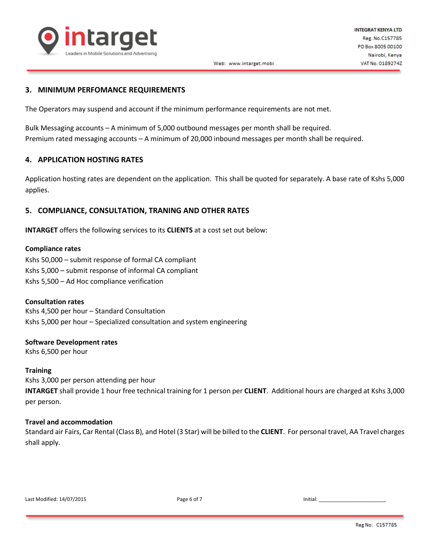

#### **3. MINIMUM PERFOMANCE REQUIREMENTS**

The Operators may suspend and account if the minimum performance requirements are not met.

Bulk Messaging accounts – A minimum of 5,000 outbound messages per month shall be required. Premium rated messaging accounts – A minimum of 20,000 inbound messages per month shall be required.

#### **4. APPLICATION HOSTING RATES**

Application hosting rates are dependent on the application. This shall be quoted for separately. A base rate of Kshs 5,000 applies.

#### **5. COMPLIANCE, CONSULTATION, TRANING AND OTHER RATES**

**INTARGET** offers the following services to its **CLIENTS** at a cost set out below:

#### **Compliance rates**

Kshs 50,000 – submit response of formal CA compliant Kshs 5,000 – submit response of informal CA compliant Kshs 5,500 – Ad Hoc compliance verification

#### **Consultation rates**

Kshs 4,500 per hour – Standard Consultation Kshs 5,000 per hour – Specialized consultation and system engineering

#### **Software Development rates**

Kshs 6,500 per hour

#### **Training**

Kshs 3,000 per person attending per hour

**INTARGET** shall provide 1 hour free technical training for 1 person per **CLIENT**. Additional hours are charged at Kshs 3,000 per person.

#### **Travel and accommodation**

Standard air Fairs, Car Rental (Class B), and Hotel (3 Star) will be billed to the **CLIENT**. For personal travel, AA Travel charges shall apply.